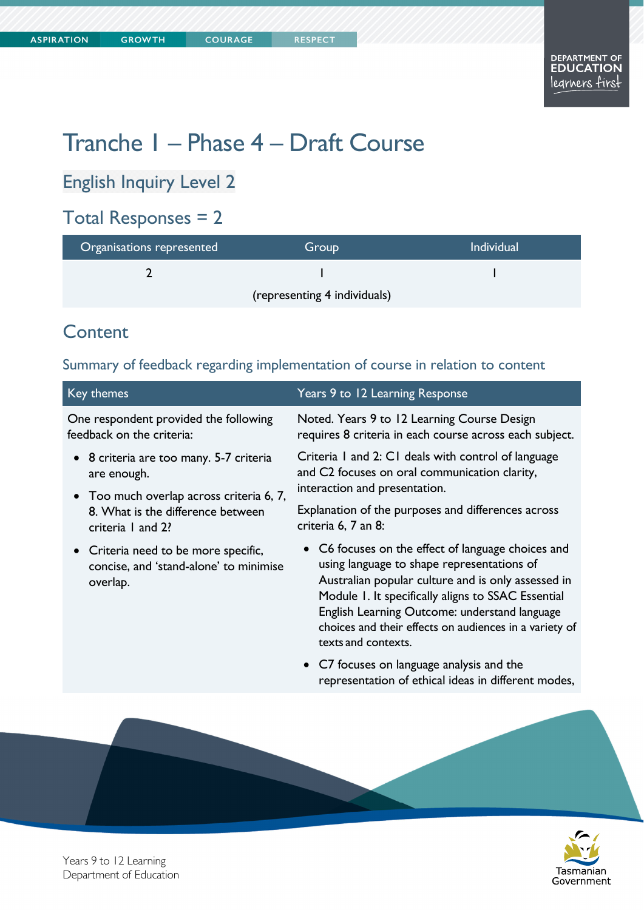# Tranche 1 – Phase 4 – Draft Course

English Inquiry Level 2

# Total Responses = 2

| Organisations represented    | Group | <b>Individual</b> |
|------------------------------|-------|-------------------|
|                              |       |                   |
| (representing 4 individuals) |       |                   |

# **Content**

### Summary of feedback regarding implementation of course in relation to content

| Key themes                                                                                         | Years 9 to 12 Learning Response                                                                                                                                                                                                                                                                                                                |
|----------------------------------------------------------------------------------------------------|------------------------------------------------------------------------------------------------------------------------------------------------------------------------------------------------------------------------------------------------------------------------------------------------------------------------------------------------|
| One respondent provided the following<br>feedback on the criteria:                                 | Noted. Years 9 to 12 Learning Course Design<br>requires 8 criteria in each course across each subject.                                                                                                                                                                                                                                         |
| • 8 criteria are too many. 5-7 criteria<br>are enough.                                             | Criteria 1 and 2: C1 deals with control of language<br>and C2 focuses on oral communication clarity,<br>interaction and presentation.                                                                                                                                                                                                          |
| • Too much overlap across criteria 6, 7,<br>8. What is the difference between<br>criteria 1 and 2? | Explanation of the purposes and differences across<br>criteria 6, 7 an 8:                                                                                                                                                                                                                                                                      |
| • Criteria need to be more specific,<br>concise, and 'stand-alone' to minimise<br>overlap.         | • C6 focuses on the effect of language choices and<br>using language to shape representations of<br>Australian popular culture and is only assessed in<br>Module 1. It specifically aligns to SSAC Essential<br>English Learning Outcome: understand language<br>choices and their effects on audiences in a variety of<br>texts and contexts. |
|                                                                                                    | • C7 focuses on language analysis and the<br>representation of ethical ideas in different modes,                                                                                                                                                                                                                                               |
|                                                                                                    |                                                                                                                                                                                                                                                                                                                                                |



Years 9 to 12 Learning Department of Education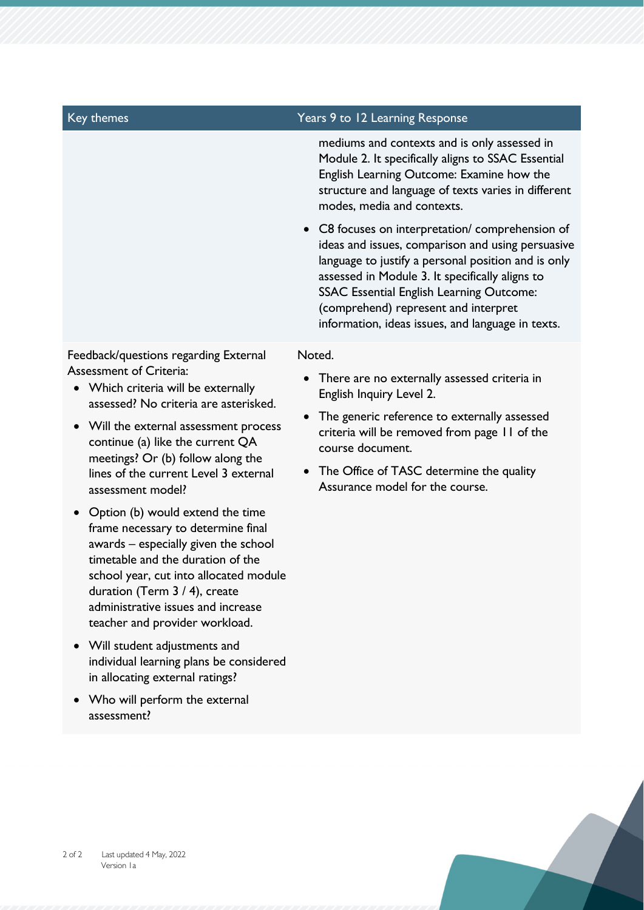#### Key themes Years 9 to 12 Learning Response

mediums and contexts and is only assessed in Module 2. It specifically aligns to SSAC Essential English Learning Outcome: Examine how the structure and language of texts varies in different modes, media and contexts.

 C8 focuses on interpretation/ comprehension of ideas and issues, comparison and using persuasive language to justify a personal position and is only assessed in Module 3. It specifically aligns to SSAC Essential English Learning Outcome: (comprehend) represent and interpret information, ideas issues, and language in texts.

#### Noted.

- There are no externally assessed criteria in English Inquiry Level 2.
- The generic reference to externally assessed criteria will be removed from page 11 of the course document.
- The Office of TASC determine the quality Assurance model for the course.

Feedback/questions regarding External Assessment of Criteria:

- Which criteria will be externally assessed? No criteria are asterisked.
- Will the external assessment process continue (a) like the current QA meetings? Or (b) follow along the lines of the current Level 3 external assessment model?
- Option (b) would extend the time frame necessary to determine final awards – especially given the school timetable and the duration of the school year, cut into allocated module duration (Term 3 / 4), create administrative issues and increase teacher and provider workload.
- Will student adjustments and individual learning plans be considered in allocating external ratings?
- Who will perform the external assessment?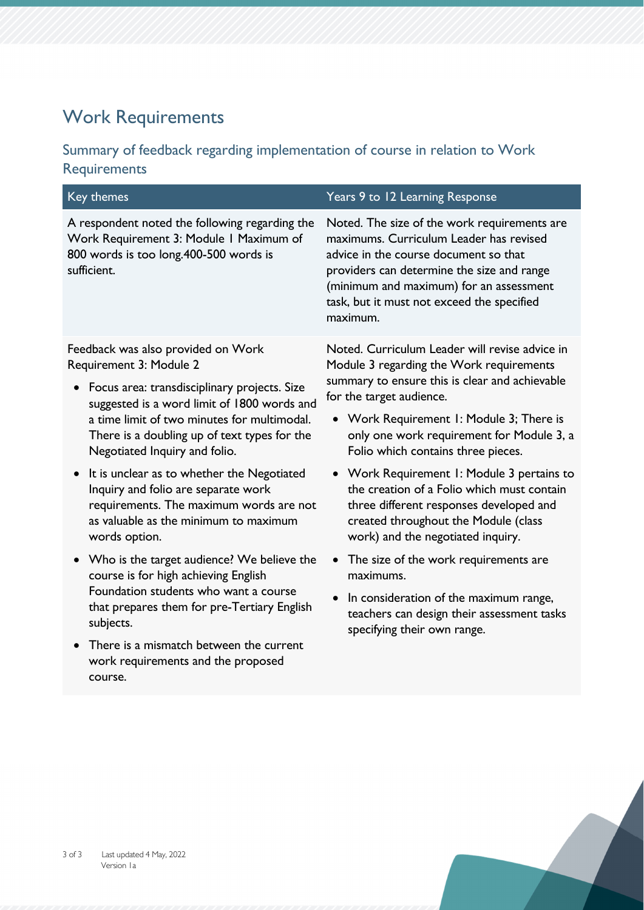# Work Requirements

## Summary of feedback regarding implementation of course in relation to Work Requirements

| <b>Key themes</b>                                                                                                                                                                                   | Years 9 to 12 Learning Response                                                                                                                                                                                                                                                     |  |
|-----------------------------------------------------------------------------------------------------------------------------------------------------------------------------------------------------|-------------------------------------------------------------------------------------------------------------------------------------------------------------------------------------------------------------------------------------------------------------------------------------|--|
| A respondent noted the following regarding the<br>Work Requirement 3: Module I Maximum of<br>800 words is too long.400-500 words is<br>sufficient.                                                  | Noted. The size of the work requirements are<br>maximums. Curriculum Leader has revised<br>advice in the course document so that<br>providers can determine the size and range<br>(minimum and maximum) for an assessment<br>task, but it must not exceed the specified<br>maximum. |  |
| Feedback was also provided on Work<br>Requirement 3: Module 2                                                                                                                                       | Noted. Curriculum Leader will revise advice in<br>Module 3 regarding the Work requirements<br>summary to ensure this is clear and achievable                                                                                                                                        |  |
| Focus area: transdisciplinary projects. Size<br>$\bullet$<br>suggested is a word limit of 1800 words and                                                                                            | for the target audience.                                                                                                                                                                                                                                                            |  |
| a time limit of two minutes for multimodal.<br>There is a doubling up of text types for the<br>Negotiated Inquiry and folio.                                                                        | • Work Requirement 1: Module 3; There is<br>only one work requirement for Module 3, a<br>Folio which contains three pieces.                                                                                                                                                         |  |
| It is unclear as to whether the Negotiated<br>$\bullet$<br>Inquiry and folio are separate work<br>requirements. The maximum words are not<br>as valuable as the minimum to maximum<br>words option. | • Work Requirement I: Module 3 pertains to<br>the creation of a Folio which must contain<br>three different responses developed and<br>created throughout the Module (class<br>work) and the negotiated inquiry.                                                                    |  |
| • Who is the target audience? We believe the<br>course is for high achieving English                                                                                                                | The size of the work requirements are<br>maximums.                                                                                                                                                                                                                                  |  |
| Foundation students who want a course<br>that prepares them for pre-Tertiary English<br>subjects.                                                                                                   | In consideration of the maximum range,<br>teachers can design their assessment tasks<br>specifying their own range.                                                                                                                                                                 |  |
| There is a mismatch between the current<br>work requirements and the proposed<br>course.                                                                                                            |                                                                                                                                                                                                                                                                                     |  |
|                                                                                                                                                                                                     |                                                                                                                                                                                                                                                                                     |  |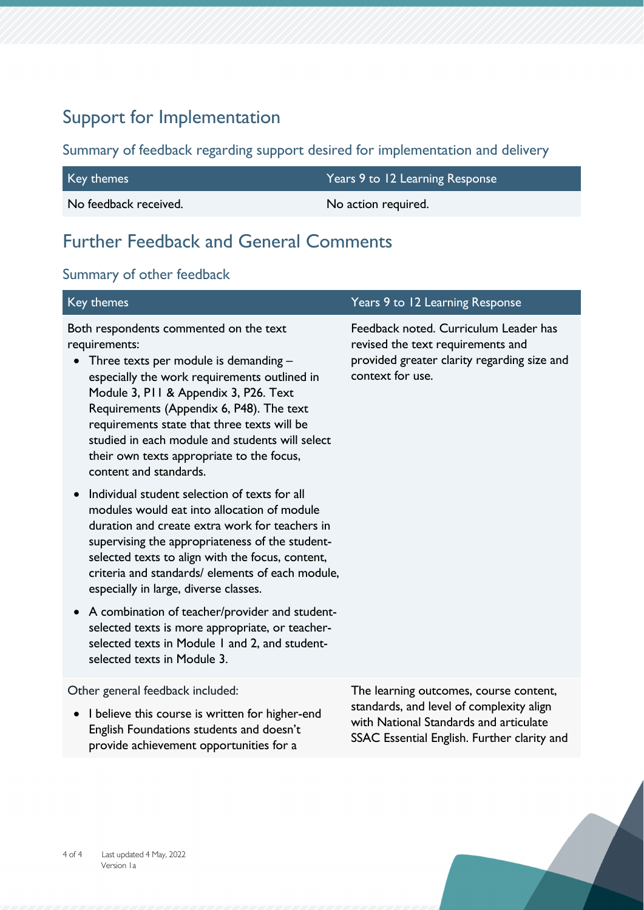# Support for Implementation

Summary of feedback regarding support desired for implementation and delivery

| Key themes            | Years 9 to 12 Learning Response |
|-----------------------|---------------------------------|
| No feedback received. | No action required.             |

# Further Feedback and General Comments

## Summary of other feedback

| Key themes                                                                                                                                                                                                                                                                                                                                                                                                     | Years 9 to 12 Learning Response                                                                                                               |
|----------------------------------------------------------------------------------------------------------------------------------------------------------------------------------------------------------------------------------------------------------------------------------------------------------------------------------------------------------------------------------------------------------------|-----------------------------------------------------------------------------------------------------------------------------------------------|
| Both respondents commented on the text<br>requirements:<br>Three texts per module is demanding -<br>especially the work requirements outlined in<br>Module 3, P11 & Appendix 3, P26. Text<br>Requirements (Appendix 6, P48). The text<br>requirements state that three texts will be<br>studied in each module and students will select<br>their own texts appropriate to the focus,<br>content and standards. | Feedback noted. Curriculum Leader has<br>revised the text requirements and<br>provided greater clarity regarding size and<br>context for use. |
| Individual student selection of texts for all<br>modules would eat into allocation of module<br>duration and create extra work for teachers in<br>supervising the appropriateness of the student-<br>selected texts to align with the focus, content,<br>criteria and standards/ elements of each module,<br>especially in large, diverse classes.                                                             |                                                                                                                                               |
| A combination of teacher/provider and student-<br>$\bullet$<br>selected texts is more appropriate, or teacher-<br>selected texts in Module 1 and 2, and student-<br>selected texts in Module 3.                                                                                                                                                                                                                |                                                                                                                                               |
| Other general feedback included:<br>I believe this course is written for higher-end<br>$\bullet$<br>للأستجاب والمستحدث ومستواريه والمتحاولة والمستحاة والمناب                                                                                                                                                                                                                                                  | The learning outcomes, course content,<br>standards, and level of complexity align<br>with National Standards and articulate                  |

SSAC Essential English. Further clarity and

English Foundations students and doesn't provide achievement opportunities for a